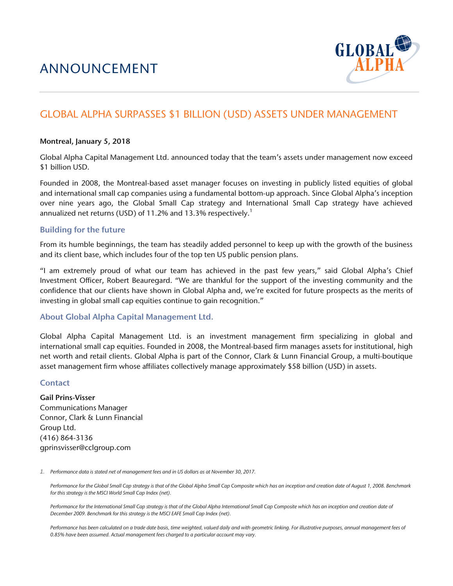

# GLOBAL ALPHA SURPASSES \$1 BILLION (USD) ASSETS UNDER MANAGEMENT

#### Montreal, January 5, 2018

Global Alpha Capital Management Ltd. announced today that the team's assets under management now exceed \$1 billion USD.

Founded in 2008, the Montreal-based asset manager focuses on investing in publicly listed equities of global and international small cap companies using a fundamental bottom-up approach. Since Global Alpha's inception over nine years ago, the Global Small Cap strategy and International Small Cap strategy have achieved annualized net returns (USD) of 11.2% and 13.3% respectively.<sup>1</sup>

## Building for the future

From its humble beginnings, the team has steadily added personnel to keep up with the growth of the business and its client base, which includes four of the top ten US public pension plans.

"I am extremely proud of what our team has achieved in the past few years," said Global Alpha's Chief Investment Officer, Robert Beauregard. "We are thankful for the support of the investing community and the confidence that our clients have shown in Global Alpha and, we're excited for future prospects as the merits of investing in global small cap equities continue to gain recognition."

## About Global Alpha Capital Management Ltd.

Global Alpha Capital Management Ltd. is an investment management firm specializing in global and international small cap equities. Founded in 2008, the Montreal-based firm manages assets for institutional, high net worth and retail clients. Global Alpha is part of the Connor, Clark & Lunn Financial Group, a multi-boutique asset management firm whose affiliates collectively manage approximately \$58 billion (USD) in assets.

## **Contact**

Gail Prins-Visser Communications Manager Connor, Clark & Lunn Financial Group Ltd. (416) 864-3136 gprinsvisser@cclgroup.com

*1. Performance data is stated net of management fees and in US dollars as at November 30, 2017.* 

Performance for the Global Small Cap strategy is that of the Global Alpha Small Cap Composite which has an inception and creation date of August 1, 2008. Benchmark *for this strategy is the MSCI World Small Cap Index (net).* 

Performance for the International Small Cap strategy is that of the Global Alpha International Small Cap Composite which has an inception and creation date of *December 2009. Benchmark for this strategy is the MSCI EAFE Small Cap Index (net).* 

Performance has been calculated on a trade date basis, time weighted, valued daily and with geometric linking. For illustrative purposes, annual management fees of *0.85% have been assumed. Actual management fees charged to a particular account may vary.*